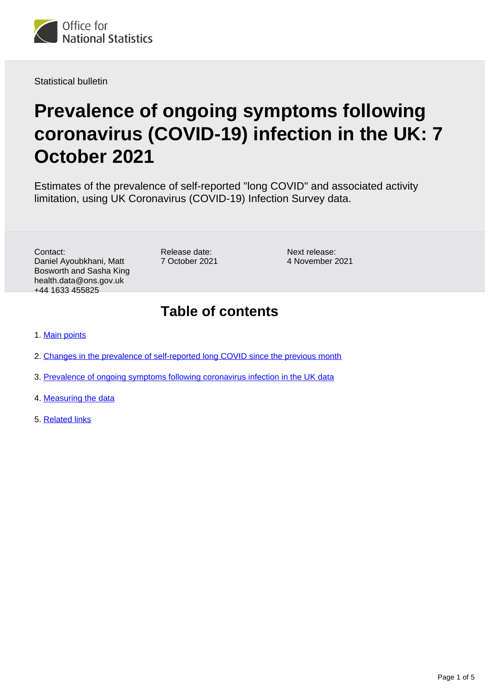

Statistical bulletin

# **Prevalence of ongoing symptoms following coronavirus (COVID-19) infection in the UK: 7 October 2021**

Estimates of the prevalence of self-reported "long COVID" and associated activity limitation, using UK Coronavirus (COVID-19) Infection Survey data.

Contact: Daniel Ayoubkhani, Matt Bosworth and Sasha King health.data@ons.gov.uk +44 1633 455825

Release date: 7 October 2021

Next release: 4 November 2021

### **Table of contents**

- 1. [Main points](#page-1-0)
- 2. [Changes in the prevalence of self-reported long COVID since the previous month](#page-1-1)
- 3. [Prevalence of ongoing symptoms following coronavirus infection in the UK data](#page-3-0)
- 4. [Measuring the data](#page-3-1)
- 5. [Related links](#page-4-0)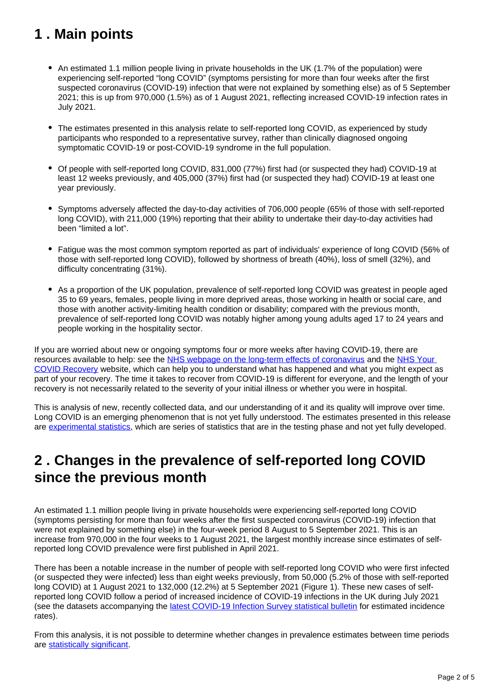# <span id="page-1-0"></span>**1 . Main points**

- An estimated 1.1 million people living in private households in the UK (1.7% of the population) were experiencing self-reported "long COVID" (symptoms persisting for more than four weeks after the first suspected coronavirus (COVID-19) infection that were not explained by something else) as of 5 September 2021; this is up from 970,000 (1.5%) as of 1 August 2021, reflecting increased COVID-19 infection rates in July 2021.
- The estimates presented in this analysis relate to self-reported long COVID, as experienced by study participants who responded to a representative survey, rather than clinically diagnosed ongoing symptomatic COVID-19 or post-COVID-19 syndrome in the full population.
- Of people with self-reported long COVID, 831,000 (77%) first had (or suspected they had) COVID-19 at least 12 weeks previously, and 405,000 (37%) first had (or suspected they had) COVID-19 at least one year previously.
- Symptoms adversely affected the day-to-day activities of 706,000 people (65% of those with self-reported long COVID), with 211,000 (19%) reporting that their ability to undertake their day-to-day activities had been "limited a lot".
- Fatigue was the most common symptom reported as part of individuals' experience of long COVID (56% of those with self-reported long COVID), followed by shortness of breath (40%), loss of smell (32%), and difficulty concentrating (31%).
- As a proportion of the UK population, prevalence of self-reported long COVID was greatest in people aged 35 to 69 years, females, people living in more deprived areas, those working in health or social care, and those with another activity-limiting health condition or disability; compared with the previous month, prevalence of self-reported long COVID was notably higher among young adults aged 17 to 24 years and people working in the hospitality sector.

If you are worried about new or ongoing symptoms four or more weeks after having COVID-19, there are resources available to help: see the [NHS webpage on the long-term effects of coronavirus](https://www.nhs.uk/conditions/coronavirus-covid-19/long-term-effects-of-coronavirus-long-covid/) and the [NHS Your](https://www.yourcovidrecovery.nhs.uk/)  [COVID Recovery](https://www.yourcovidrecovery.nhs.uk/) website, which can help you to understand what has happened and what you might expect as part of your recovery. The time it takes to recover from COVID-19 is different for everyone, and the length of your recovery is not necessarily related to the severity of your initial illness or whether you were in hospital.

This is analysis of new, recently collected data, and our understanding of it and its quality will improve over time. Long COVID is an emerging phenomenon that is not yet fully understood. The estimates presented in this release are [experimental statistics,](https://www.ons.gov.uk/methodology/methodologytopicsandstatisticalconcepts/guidetoexperimentalstatistics) which are series of statistics that are in the testing phase and not yet fully developed.

## <span id="page-1-1"></span>**2 . Changes in the prevalence of self-reported long COVID since the previous month**

An estimated 1.1 million people living in private households were experiencing self-reported long COVID (symptoms persisting for more than four weeks after the first suspected coronavirus (COVID-19) infection that were not explained by something else) in the four-week period 8 August to 5 September 2021. This is an increase from 970,000 in the four weeks to 1 August 2021, the largest monthly increase since estimates of selfreported long COVID prevalence were first published in April 2021.

There has been a notable increase in the number of people with self-reported long COVID who were first infected (or suspected they were infected) less than eight weeks previously, from 50,000 (5.2% of those with self-reported long COVID) at 1 August 2021 to 132,000 (12.2%) at 5 September 2021 (Figure 1). These new cases of selfreported long COVID follow a period of increased incidence of COVID-19 infections in the UK during July 2021 (see the datasets accompanying the [latest COVID-19 Infection Survey statistical bulletin](https://www.ons.gov.uk/peoplepopulationandcommunity/healthandsocialcare/conditionsanddiseases/bulletins/coronaviruscovid19infectionsurveypilot/latest) for estimated incidence rates).

From this analysis, it is not possible to determine whether changes in prevalence estimates between time periods are [statistically significant.](https://www.ons.gov.uk/methodology/methodologytopicsandstatisticalconcepts/uncertaintyandhowwemeasureit#statistical-significance)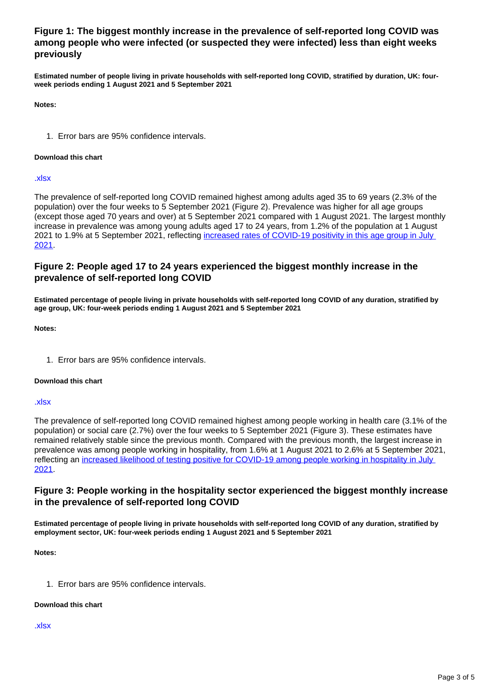### **Figure 1: The biggest monthly increase in the prevalence of self-reported long COVID was among people who were infected (or suspected they were infected) less than eight weeks previously**

**Estimated number of people living in private households with self-reported long COVID, stratified by duration, UK: fourweek periods ending 1 August 2021 and 5 September 2021**

**Notes:**

1. Error bars are 95% confidence intervals.

#### **Download this chart**

#### [.xlsx](https://www.ons.gov.uk/visualisations/dvc1599/fig1/datadownload.xlsx)

The prevalence of self-reported long COVID remained highest among adults aged 35 to 69 years (2.3% of the population) over the four weeks to 5 September 2021 (Figure 2). Prevalence was higher for all age groups (except those aged 70 years and over) at 5 September 2021 compared with 1 August 2021. The largest monthly increase in prevalence was among young adults aged 17 to 24 years, from 1.2% of the population at 1 August 2021 to 1.9% at 5 September 2021, reflecting [increased rates of COVID-19 positivity in this age group in July](https://www.ons.gov.uk/peoplepopulationandcommunity/healthandsocialcare/conditionsanddiseases/bulletins/coronaviruscovid19infectionsurveypilot/13august2021#age-analysis-of-the-number-of-people-who-had-covid-19)  [2021](https://www.ons.gov.uk/peoplepopulationandcommunity/healthandsocialcare/conditionsanddiseases/bulletins/coronaviruscovid19infectionsurveypilot/13august2021#age-analysis-of-the-number-of-people-who-had-covid-19).

### **Figure 2: People aged 17 to 24 years experienced the biggest monthly increase in the prevalence of self-reported long COVID**

**Estimated percentage of people living in private households with self-reported long COVID of any duration, stratified by age group, UK: four-week periods ending 1 August 2021 and 5 September 2021**

**Notes:**

1. Error bars are 95% confidence intervals.

#### **Download this chart**

#### [.xlsx](https://www.ons.gov.uk/visualisations/dvc1599/fig2/datadownload.xlsx)

The prevalence of self-reported long COVID remained highest among people working in health care (3.1% of the population) or social care (2.7%) over the four weeks to 5 September 2021 (Figure 3). These estimates have remained relatively stable since the previous month. Compared with the previous month, the largest increase in prevalence was among people working in hospitality, from 1.6% at 1 August 2021 to 2.6% at 5 September 2021, reflecting an [increased likelihood of testing positive for COVID-19 among people working in hospitality in July](https://www.ons.gov.uk/peoplepopulationandcommunity/healthandsocialcare/conditionsanddiseases/articles/coronaviruscovid19infectionsurveytechnicalarticle/analysisofpopulationsintheukbyriskoftestingpositiveforcovid19september2021#model-2-the-screening-model-populations-by-risk-of-covid-19-in-the-uk)  [2021](https://www.ons.gov.uk/peoplepopulationandcommunity/healthandsocialcare/conditionsanddiseases/articles/coronaviruscovid19infectionsurveytechnicalarticle/analysisofpopulationsintheukbyriskoftestingpositiveforcovid19september2021#model-2-the-screening-model-populations-by-risk-of-covid-19-in-the-uk).

### **Figure 3: People working in the hospitality sector experienced the biggest monthly increase in the prevalence of self-reported long COVID**

**Estimated percentage of people living in private households with self-reported long COVID of any duration, stratified by employment sector, UK: four-week periods ending 1 August 2021 and 5 September 2021**

**Notes:**

1. Error bars are 95% confidence intervals.

#### **Download this chart**

#### [.xlsx](https://www.ons.gov.uk/visualisations/dvc1599/fig3/datadownload.xlsx)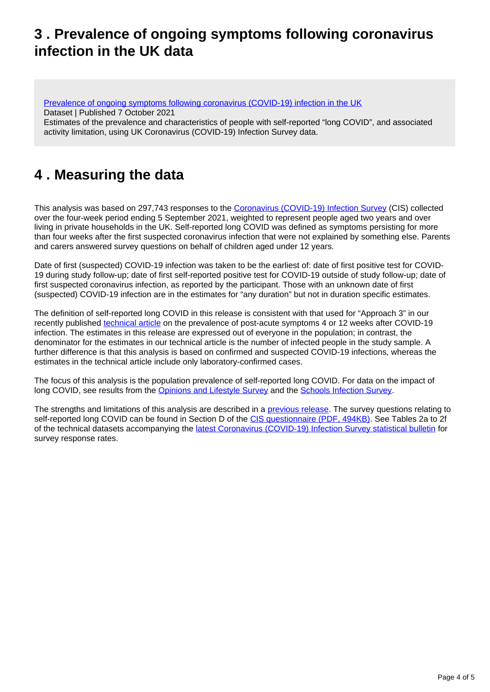## <span id="page-3-0"></span>**3 . Prevalence of ongoing symptoms following coronavirus infection in the UK data**

[Prevalence of ongoing symptoms following coronavirus \(COVID-19\) infection in the UK](https://www.ons.gov.uk/peoplepopulationandcommunity/healthandsocialcare/conditionsanddiseases/datasets/alldatarelatingtoprevalenceofongoingsymptomsfollowingcoronaviruscovid19infectionintheuk) Dataset | Published 7 October 2021

Estimates of the prevalence and characteristics of people with self-reported "long COVID", and associated activity limitation, using UK Coronavirus (COVID-19) Infection Survey data.

# <span id="page-3-1"></span>**4 . Measuring the data**

This analysis was based on 297,743 responses to the [Coronavirus \(COVID-19\) Infection Survey](https://www.ons.gov.uk/peoplepopulationandcommunity/healthandsocialcare/conditionsanddiseases/methodologies/covid19infectionsurveypilotmethodsandfurtherinformation) (CIS) collected over the four-week period ending 5 September 2021, weighted to represent people aged two years and over living in private households in the UK. Self-reported long COVID was defined as symptoms persisting for more than four weeks after the first suspected coronavirus infection that were not explained by something else. Parents and carers answered survey questions on behalf of children aged under 12 years.

Date of first (suspected) COVID-19 infection was taken to be the earliest of: date of first positive test for COVID-19 during study follow-up; date of first self-reported positive test for COVID-19 outside of study follow-up; date of first suspected coronavirus infection, as reported by the participant. Those with an unknown date of first (suspected) COVID-19 infection are in the estimates for "any duration" but not in duration specific estimates.

The definition of self-reported long COVID in this release is consistent with that used for "Approach 3" in our recently published [technical article](https://www.ons.gov.uk/peoplepopulationandcommunity/healthandsocialcare/conditionsanddiseases/articles/technicalarticleupdatedestimatesoftheprevalenceofpostacutesymptomsamongpeoplewithcoronaviruscovid19intheuk/26april2020to1august2021) on the prevalence of post-acute symptoms 4 or 12 weeks after COVID-19 infection. The estimates in this release are expressed out of everyone in the population; in contrast, the denominator for the estimates in our technical article is the number of infected people in the study sample. A further difference is that this analysis is based on confirmed and suspected COVID-19 infections, whereas the estimates in the technical article include only laboratory-confirmed cases.

The focus of this analysis is the population prevalence of self-reported long COVID. For data on the impact of long COVID, see results from the [Opinions and Lifestyle Survey](https://www.ons.gov.uk/peoplepopulationandcommunity/healthandsocialcare/conditionsanddiseases/articles/coronavirusandthesocialimpactsoflongcovidonpeopleslivesingreatbritain/7aprilto13june2021) and the [Schools Infection Survey](https://www.ons.gov.uk/peoplepopulationandcommunity/healthandsocialcare/conditionsanddiseases/bulletins/covid19schoolsinfectionsurveyenglandprevalenceofongoingsymptomsfollowingcoronaviruscovid19infectioninschoolpupilsandstaff/july2021).

The strengths and limitations of this analysis are described in a [previous release.](https://www.ons.gov.uk/peoplepopulationandcommunity/healthandsocialcare/conditionsanddiseases/bulletins/prevalenceofongoingsymptomsfollowingcoronaviruscovid19infectionintheuk/4june2021#strengths-and-limitations) The survey questions relating to self-reported long COVID can be found in Section D of the [CIS questionnaire \(PDF, 494KB\).](https://www.ndm.ox.ac.uk/files/coronavirus/covid-19-infection-survey/crf5participantfollowupvisitv10-020210518.pdf) See Tables 2a to 2f of the technical datasets accompanying the [latest Coronavirus \(COVID-19\) Infection Survey statistical bulletin](https://www.ons.gov.uk/peoplepopulationandcommunity/healthandsocialcare/conditionsanddiseases/bulletins/coronaviruscovid19infectionsurveypilot/latest) for survey response rates.